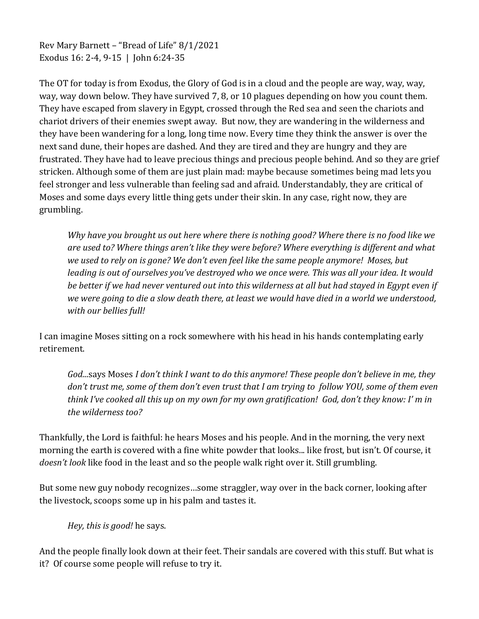Rev Mary Barnett – "Bread of Life" 8/1/2021 Exodus 16: 2-4, 9-15 | John 6:24-35

The OT for today is from Exodus, the Glory of God is in a cloud and the people are way, way, way, way, way down below. They have survived 7, 8, or 10 plagues depending on how you count them. They have escaped from slavery in Egypt, crossed through the Red sea and seen the chariots and chariot drivers of their enemies swept away. But now, they are wandering in the wilderness and they have been wandering for a long, long time now. Every time they think the answer is over the next sand dune, their hopes are dashed. And they are tired and they are hungry and they are frustrated. They have had to leave precious things and precious people behind. And so they are grief stricken. Although some of them are just plain mad: maybe because sometimes being mad lets you feel stronger and less vulnerable than feeling sad and afraid. Understandably, they are critical of Moses and some days every little thing gets under their skin. In any case, right now, they are grumbling.

*Why have you brought us out here where there is nothing good? Where there is no food like we are used to? Where things aren't like they were before? Where everything is different and what we used to rely on is gone? We don't even feel like the same people anymore! Moses, but leading is out of ourselves you've destroyed who we once were. This was all your idea. It would be better if we had never ventured out into this wilderness at all but had stayed in Egypt even if we were going to die a slow death there, at least we would have died in a world we understood, with our bellies full!*

I can imagine Moses sitting on a rock somewhere with his head in his hands contemplating early retirement.

*God.*..says Moses *I don't think I want to do this anymore! These people don't believe in me, they don't trust me, some of them don't even trust that I am trying to follow YOU, some of them even think I've cooked all this up on my own for my own gratification! God, don't they know: I' m in the wilderness too?*

Thankfully, the Lord is faithful: he hears Moses and his people. And in the morning, the very next morning the earth is covered with a fine white powder that looks... like frost, but isn't. Of course, it *doesn't look* like food in the least and so the people walk right over it. Still grumbling.

But some new guy nobody recognizes…some straggler, way over in the back corner, looking after the livestock, scoops some up in his palm and tastes it.

*Hey, this is good!* he says.

And the people finally look down at their feet. Their sandals are covered with this stuff. But what is it? Of course some people will refuse to try it.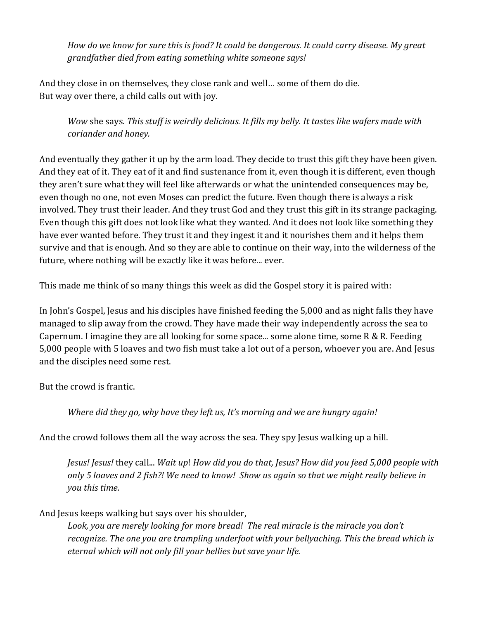*How do we know for sure this is food? It could be dangerous. It could carry disease. My great grandfather died from eating something white someone says!*

And they close in on themselves, they close rank and well… some of them do die. But way over there, a child calls out with joy.

*Wow* she says. *This stuff is weirdly delicious. It fills my belly. It tastes like wafers made with coriander and honey.*

And eventually they gather it up by the arm load. They decide to trust this gift they have been given. And they eat of it. They eat of it and find sustenance from it, even though it is different, even though they aren't sure what they will feel like afterwards or what the unintended consequences may be, even though no one, not even Moses can predict the future. Even though there is always a risk involved. They trust their leader. And they trust God and they trust this gift in its strange packaging. Even though this gift does not look like what they wanted. And it does not look like something they have ever wanted before. They trust it and they ingest it and it nourishes them and it helps them survive and that is enough. And so they are able to continue on their way, into the wilderness of the future, where nothing will be exactly like it was before... ever.

This made me think of so many things this week as did the Gospel story it is paired with:

In John's Gospel, Jesus and his disciples have finished feeding the 5,000 and as night falls they have managed to slip away from the crowd. They have made their way independently across the sea to Capernum. I imagine they are all looking for some space... some alone time, some R & R. Feeding 5,000 people with 5 loaves and two fish must take a lot out of a person, whoever you are. And Jesus and the disciples need some rest.

But the crowd is frantic.

*Where did they go, why have they left us, It's morning and we are hungry again!*

And the crowd follows them all the way across the sea. They spy Jesus walking up a hill.

*Jesus! Jesus!* they call... *Wait up*! *How did you do that, Jesus? How did you feed 5,000 people with only 5 loaves and 2 fish?! We need to know! Show us again so that we might really believe in you this time.*

## And Jesus keeps walking but says over his shoulder,

*Look, you are merely looking for more bread! The real miracle is the miracle you don't recognize. The one you are trampling underfoot with your bellyaching. This the bread which is eternal which will not only fill your bellies but save your life.*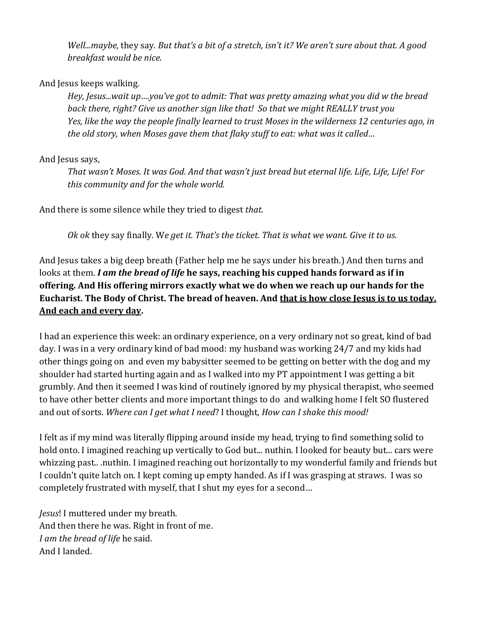*Well...maybe*, they say. *But that's a bit of a stretch, isn't it? We aren't sure about that. A good breakfast would be nice.*

## And Jesus keeps walking.

*Hey, Jesus...wait up….you've got to admit: That was pretty amazing what you did w the bread back there, right? Give us another sign like that! So that we might REALLY trust you Yes, like the way the people finally learned to trust Moses in the wilderness 12 centuries ago, in the old story, when Moses gave them that flaky stuff to eat: what was it called…*

## And Jesus says,

*That wasn't Moses. It was God. And that wasn't just bread but eternal life. Life, Life, Life! For this community and for the whole world.*

And there is some silence while they tried to digest *that.*

*Ok ok* they say finally. W*e get it. That's the ticket. That is what we want. Give it to us.*

And Jesus takes a big deep breath (Father help me he says under his breath.) And then turns and looks at them. *I am the bread of life* **he says, reaching his cupped hands forward as if in offering. And His offering mirrors exactly what we do when we reach up our hands for the Eucharist. The Body of Christ. The bread of heaven. And that is how close Jesus is to us today. And each and every day.**

I had an experience this week: an ordinary experience, on a very ordinary not so great, kind of bad day. I was in a very ordinary kind of bad mood: my husband was working 24/7 and my kids had other things going on and even my babysitter seemed to be getting on better with the dog and my shoulder had started hurting again and as I walked into my PT appointment I was getting a bit grumbly. And then it seemed I was kind of routinely ignored by my physical therapist, who seemed to have other better clients and more important things to do and walking home I felt SO flustered and out of sorts. *Where can I get what I need*? I thought, *How can I shake this mood!*

I felt as if my mind was literally flipping around inside my head, trying to find something solid to hold onto. I imagined reaching up vertically to God but... nuthin. I looked for beauty but... cars were whizzing past.. .nuthin. I imagined reaching out horizontally to my wonderful family and friends but I couldn't quite latch on. I kept coming up empty handed. As if I was grasping at straws. I was so completely frustrated with myself, that I shut my eyes for a second…

*Jesus*! I muttered under my breath. And then there he was. Right in front of me. *I am the bread of life* he said. And I landed.